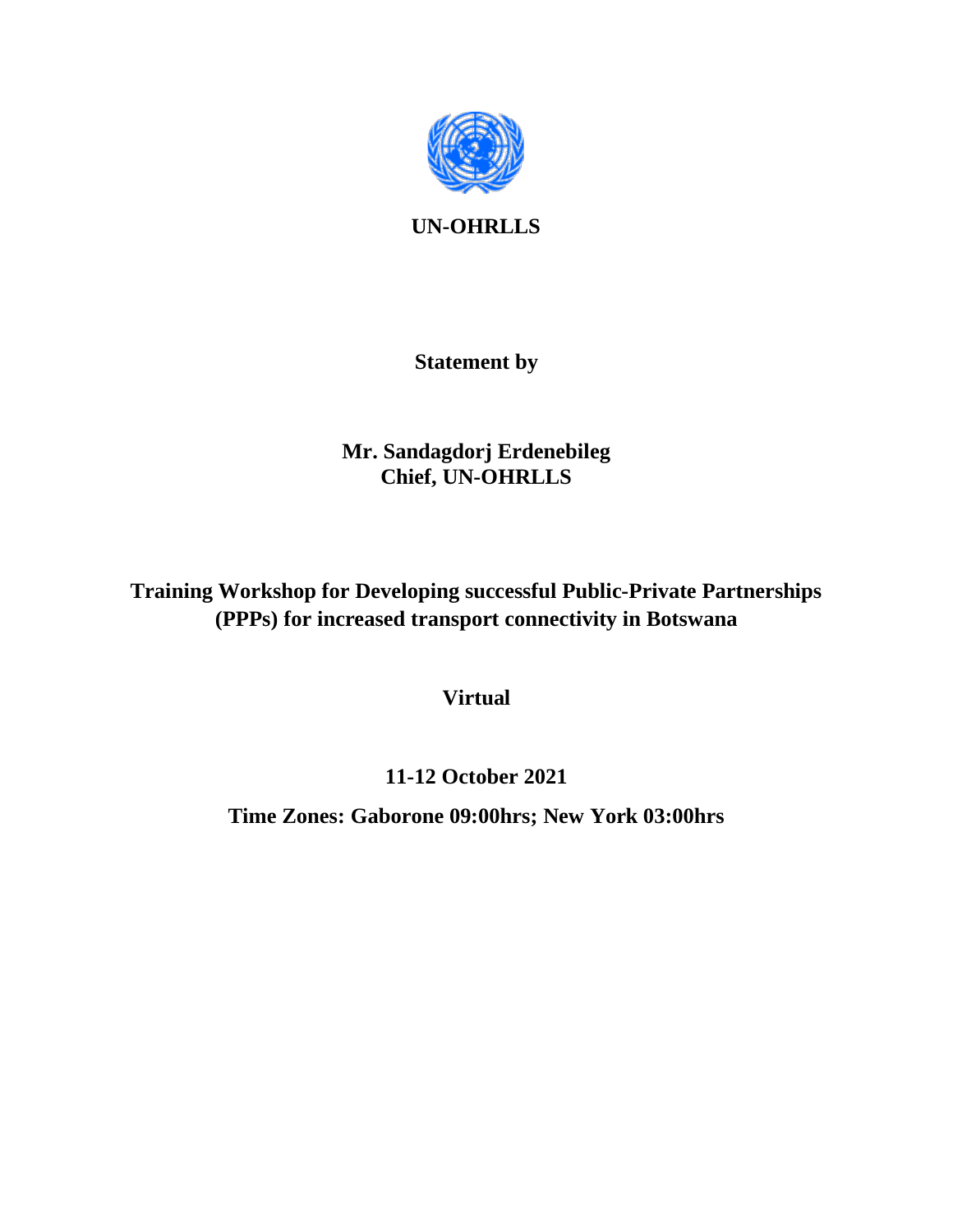

**UN-OHRLLS**

### **Statement by**

## **Mr. Sandagdorj Erdenebileg Chief, UN-OHRLLS**

**Training Workshop for Developing successful Public-Private Partnerships (PPPs) for increased transport connectivity in Botswana**

**Virtual**

# **11-12 October 2021**

**Time Zones: Gaborone 09:00hrs; New York 03:00hrs**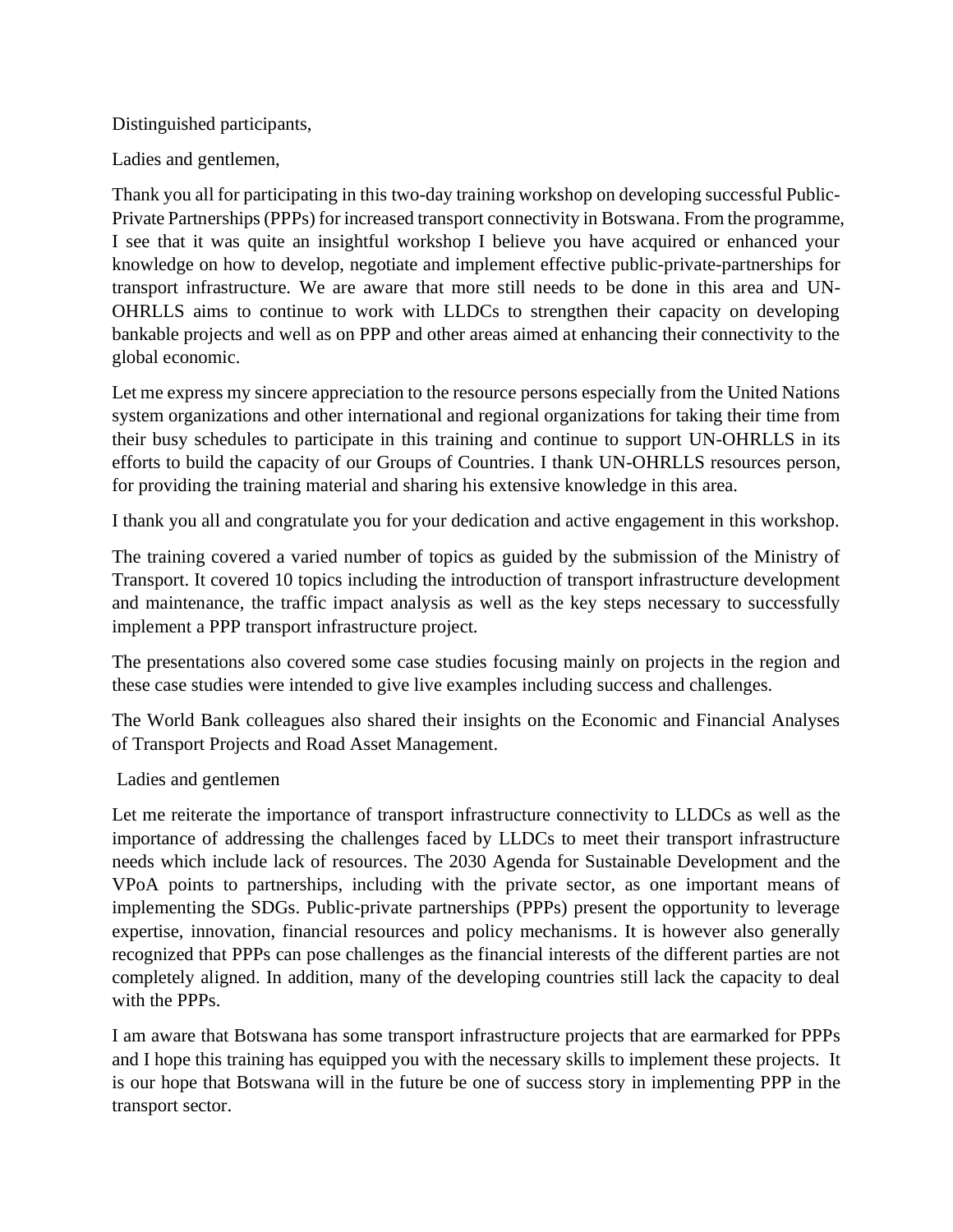#### Distinguished participants,

Ladies and gentlemen,

Thank you all for participating in this two-day training workshop on developing successful Public-Private Partnerships (PPPs) for increased transport connectivity in Botswana. From the programme, I see that it was quite an insightful workshop I believe you have acquired or enhanced your knowledge on how to develop, negotiate and implement effective public-private-partnerships for transport infrastructure. We are aware that more still needs to be done in this area and UN-OHRLLS aims to continue to work with LLDCs to strengthen their capacity on developing bankable projects and well as on PPP and other areas aimed at enhancing their connectivity to the global economic.

Let me express my sincere appreciation to the resource persons especially from the United Nations system organizations and other international and regional organizations for taking their time from their busy schedules to participate in this training and continue to support UN-OHRLLS in its efforts to build the capacity of our Groups of Countries. I thank UN-OHRLLS resources person, for providing the training material and sharing his extensive knowledge in this area.

I thank you all and congratulate you for your dedication and active engagement in this workshop.

The training covered a varied number of topics as guided by the submission of the Ministry of Transport. It covered 10 topics including the introduction of transport infrastructure development and maintenance, the traffic impact analysis as well as the key steps necessary to successfully implement a PPP transport infrastructure project.

The presentations also covered some case studies focusing mainly on projects in the region and these case studies were intended to give live examples including success and challenges.

The World Bank colleagues also shared their insights on the Economic and Financial Analyses of Transport Projects and Road Asset Management.

### Ladies and gentlemen

Let me reiterate the importance of transport infrastructure connectivity to LLDCs as well as the importance of addressing the challenges faced by LLDCs to meet their transport infrastructure needs which include lack of resources. The 2030 Agenda for Sustainable Development and the VPoA points to partnerships, including with the private sector, as one important means of implementing the SDGs. Public-private partnerships (PPPs) present the opportunity to leverage expertise, innovation, financial resources and policy mechanisms. It is however also generally recognized that PPPs can pose challenges as the financial interests of the different parties are not completely aligned. In addition, many of the developing countries still lack the capacity to deal with the PPPs.

I am aware that Botswana has some transport infrastructure projects that are earmarked for PPPs and I hope this training has equipped you with the necessary skills to implement these projects. It is our hope that Botswana will in the future be one of success story in implementing PPP in the transport sector.